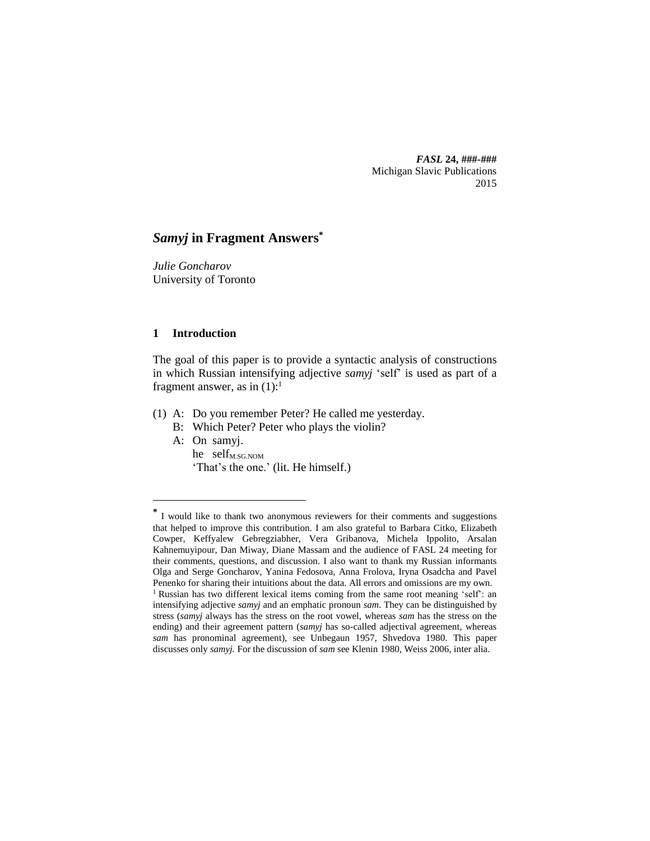*FASL* **24, ###-###** Michigan Slavic Publications 2015

# *Samyj* **in Fragment Answers\***

*Julie Goncharov* University of Toronto

## **1 Introduction**

 $\overline{a}$ 

The goal of this paper is to provide a syntactic analysis of constructions in which Russian intensifying adjective *samyj* 'self' is used as part of a fragment answer, as in  $(1)$ :<sup>1</sup>

- (1) A: Do you remember Peter? He called me yesterday.
	- B: Which Peter? Peter who plays the violin?
	- A: On samyj. he self<sub>M.SG.NOM</sub> 'That's the one.' (lit. He himself.)

**<sup>\*</sup>** I would like to thank two anonymous reviewers for their comments and suggestions that helped to improve this contribution. I am also grateful to Barbara Citko, Elizabeth Cowper, Keffyalew Gebregziabher, Vera Gribanova, Michela Ippolito, Arsalan Kahnemuyipour, Dan Miway, Diane Massam and the audience of FASL 24 meeting for their comments, questions, and discussion. I also want to thank my Russian informants Olga and Serge Goncharov, Yanina Fedosova, Anna Frolova, Iryna Osadcha and Pavel Penenko for sharing their intuitions about the data. All errors and omissions are my own. <sup>1</sup> Russian has two different lexical items coming from the same root meaning 'self': an intensifying adjective *samyj* and an emphatic pronoun *sam*. They can be distinguished by stress (*samyj* always has the stress on the root vowel, whereas *sam* has the stress on the ending) and their agreement pattern (*samyj* has so-called adjectival agreement, whereas *sam* has pronominal agreement), see Unbegaun 1957, Shvedova 1980. This paper discusses only *samyj.* For the discussion of *sam* see Klenin 1980, Weiss 2006, inter alia.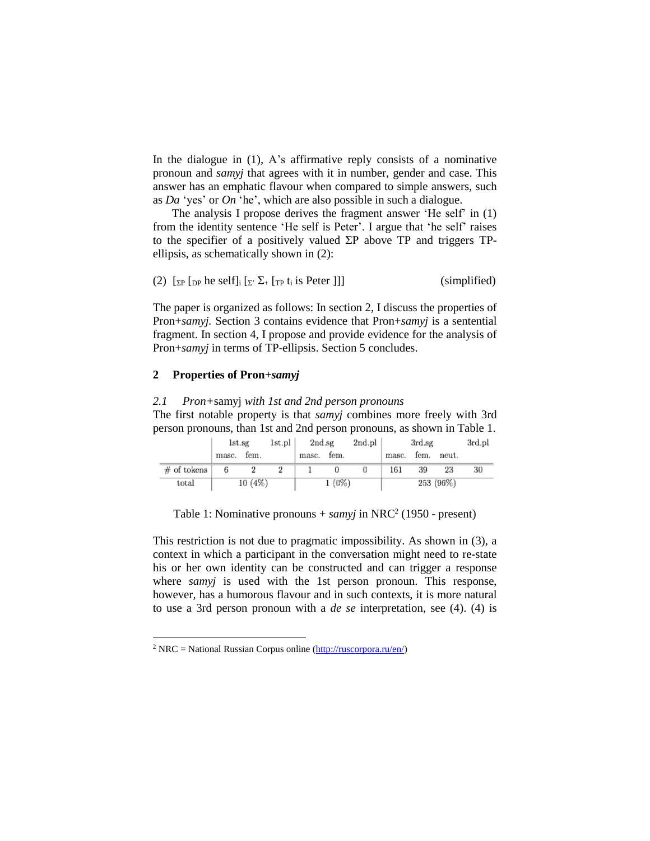In the dialogue in  $(1)$ , A's affirmative reply consists of a nominative pronoun and *samyj* that agrees with it in number, gender and case. This answer has an emphatic flavour when compared to simple answers, such as *Da* 'yes' or *On* 'he', which are also possible in such a dialogue.

The analysis I propose derives the fragment answer 'He self' in (1) from the identity sentence 'He self is Peter'. I argue that 'he self' raises to the specifier of a positively valued  $\Sigma P$  above TP and triggers TPellipsis, as schematically shown in (2):

(2) 
$$
[_{\Sigma P} [_{DP} \text{ he self}]_i [_{\Sigma'} \Sigma_+ [_{TP} t_i \text{ is Peter } ]]]
$$
 (simplified)

The paper is organized as follows: In section 2, I discuss the properties of Pron+*samyj.* Section 3 contains evidence that Pron+*samyj* is a sentential fragment. In section 4, I propose and provide evidence for the analysis of Pron+*samyj* in terms of TP-ellipsis. Section 5 concludes.

## **2 Properties of Pron+***samyj*

 $\overline{a}$ 

# *2.1 Pron+*samyj *with 1st and 2nd person pronouns* The first notable property is that *samyj* combines more freely with 3rd person pronouns, than 1st and 2nd person pronouns, as shown in Table 1.

|               | lst.sg |        | 1st.pl | 2nd.sg |          | 2nd.pl |       | 3rd.sg |           | 3rd.pl |
|---------------|--------|--------|--------|--------|----------|--------|-------|--------|-----------|--------|
|               | masc.  | fem.   |        | masc.  | fem.     |        | masc. | fem.   | neut.     |        |
| $#$ of tokens | 6      |        |        |        |          |        | 161   | 39     | 23        | 30     |
| total         |        | 10(4%) |        |        | $1(0\%)$ |        |       |        | 253 (96%) |        |

Table 1: Nominative pronouns + *samyj* in NRC<sup>2</sup> (1950 - present)

This restriction is not due to pragmatic impossibility. As shown in (3), a context in which a participant in the conversation might need to re-state his or her own identity can be constructed and can trigger a response where *samyj* is used with the 1st person pronoun. This response, however, has a humorous flavour and in such contexts, it is more natural to use a 3rd person pronoun with a *de se* interpretation, see (4). (4) is

<sup>&</sup>lt;sup>2</sup> NRC = National Russian Corpus online  $(\frac{http://ruscorpora.ru/en/})$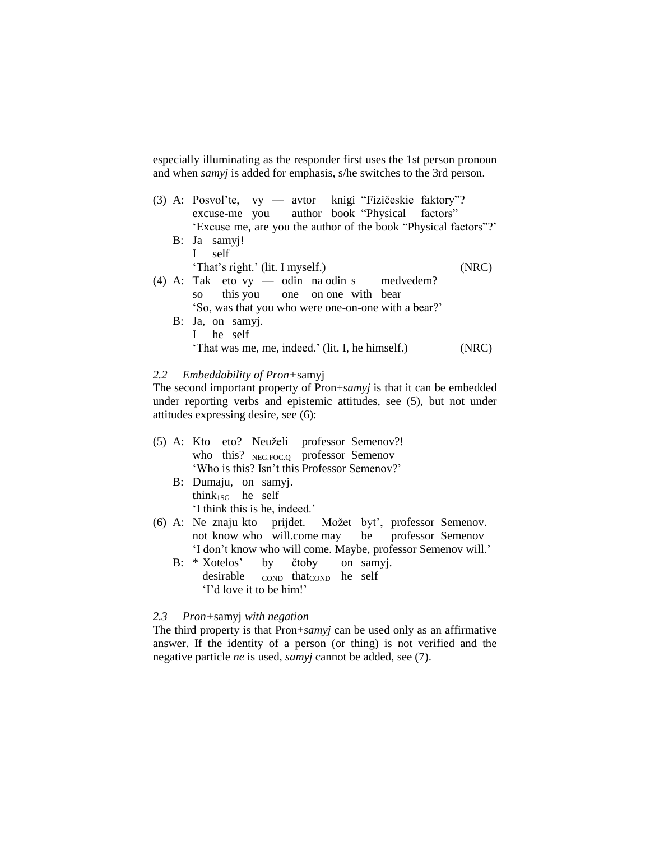especially illuminating as the responder first uses the 1st person pronoun and when *samyj* is added for emphasis, s/he switches to the 3rd person.

|  | (3) A: Posvol'te, vy — avtor knigi "Fizičeskie faktory"?        |       |
|--|-----------------------------------------------------------------|-------|
|  | excuse-me you author book "Physical factors"                    |       |
|  | 'Excuse me, are you the author of the book "Physical factors"?' |       |
|  | B: Ja samyj!                                                    |       |
|  | $\mathbf{I}$<br>self                                            |       |
|  | 'That's right.' (lit. I myself.)                                | (NRC) |
|  | $(4)$ A: Tak eto vy — odin na odin s medvedem?                  |       |
|  | this you one on one with bear<br>SO                             |       |
|  | 'So, was that you who were one-on-one with a bear?'             |       |
|  | B: Ja, on samyj.                                                |       |
|  | I he self                                                       |       |
|  | 'That was me, me, indeed.' (lit. I, he himself.)                |       |

# *2.2 Embeddability of Pron+*samyj

The second important property of Pron+*samyj* is that it can be embedded under reporting verbs and epistemic attitudes, see (5), but not under attitudes expressing desire, see (6):

|  | (5) A: Kto eto? Neuželi professor Semenov?!                  |  |  |  |
|--|--------------------------------------------------------------|--|--|--|
|  | who this? NEG.FOC.Q professor Semenov                        |  |  |  |
|  | 'Who is this? Isn't this Professor Semenov?'                 |  |  |  |
|  | B: Dumaju, on samyj.                                         |  |  |  |
|  | think <sub>1SG</sub> he self                                 |  |  |  |
|  | 'I think this is he, indeed.'                                |  |  |  |
|  | (6) A: Ne znaju kto prijdet. Možet byt', professor Semenov.  |  |  |  |
|  | not know who will.come may be professor Semenov              |  |  |  |
|  | 'I don't know who will come. Maybe, professor Semenov will.' |  |  |  |
|  | B: * Xotelos' by čtoby on samyj.                             |  |  |  |
|  | desirable conp that conp he self                             |  |  |  |

# *2.3 Pron+*samyj *with negation*

'I'd love it to be him!'

The third property is that Pron+*samyj* can be used only as an affirmative answer. If the identity of a person (or thing) is not verified and the negative particle *ne* is used, *samyj* cannot be added, see (7).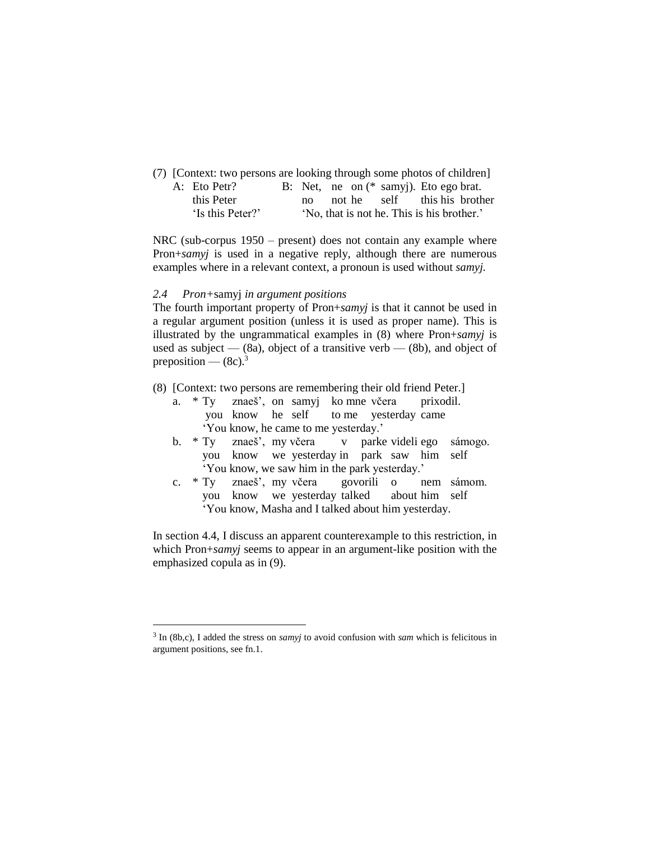(7) [Context: two persons are looking through some photos of children] A: Eto Petr? B: Net, ne on (\* samyj). Eto ego brat. this Peter no not he self this his brother 'Is this Peter?' 'No, that is not he. This is his brother.'

NRC (sub-corpus 1950 – present) does not contain any example where Pron+*samyj* is used in a negative reply, although there are numerous examples where in a relevant context, a pronoun is used without *samyj.*

#### *2.4 Pron+*samyj *in argument positions*

 $\overline{a}$ 

The fourth important property of Pron+*samyj* is that it cannot be used in a regular argument position (unless it is used as proper name). This is illustrated by the ungrammatical examples in (8) where Pron+*samyj* is used as subject  $-$  (8a), object of a transitive verb  $-$  (8b), and object of preposition —  $(8c)^3$ 

- (8) [Context: two persons are remembering their old friend Peter.]
	- a. \* Ty znaeš', on samyj ko mne včera prixodil. you know he self to me yesterday came 'You know, he came to me yesterday.'
	- b. \* Ty znaeš', my včera v parke videli ego sámogo. you know we yesterday in park saw him self 'You know, we saw him in the park yesterday.'
	- c. \* Ty znaeš', my včera govorili o nem sámom. you know we yesterday talked about him self 'You know, Masha and I talked about him yesterday.

In section 4.4, I discuss an apparent counterexample to this restriction, in which Pron+*samyj* seems to appear in an argument-like position with the emphasized copula as in (9).

<sup>3</sup> In (8b,c), I added the stress on *samyj* to avoid confusion with *sam* which is felicitous in argument positions, see fn.1.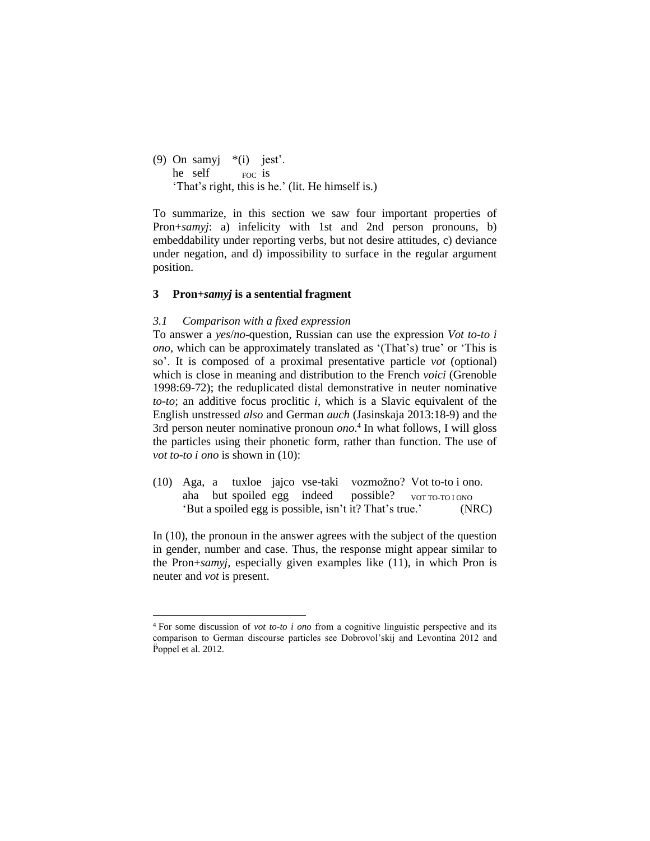(9) On samy  $*(i)$  jest'. he self  $F_{\text{FOC}}$  is 'That's right, this is he.' (lit. He himself is.)

To summarize, in this section we saw four important properties of Pron+*samyj*: a) infelicity with 1st and 2nd person pronouns, b) embeddability under reporting verbs, but not desire attitudes, c) deviance under negation, and d) impossibility to surface in the regular argument position.

#### **3 Pron+***samyj* **is a sentential fragment**

#### *3.1 Comparison with a fixed expression*

 $\overline{a}$ 

To answer a *yes*/*no*-question, Russian can use the expression *Vot to-to i ono*, which can be approximately translated as '(That's) true' or 'This is so'. It is composed of a proximal presentative particle *vot* (optional) which is close in meaning and distribution to the French *voici* (Grenoble 1998:69-72); the reduplicated distal demonstrative in neuter nominative *to-to*; an additive focus proclitic *i*, which is a Slavic equivalent of the English unstressed *also* and German *auch* (Jasinskaja 2013:18-9) and the 3rd person neuter nominative pronoun *ono*. 4 In what follows, I will gloss the particles using their phonetic form, rather than function. The use of *vot to-to i ono* is shown in (10):

(10) Aga, a tuxloe jajco vse-taki vozmožno? Vot to-to i ono. aha but spoiled egg indeed possible? vor TO-TO I ONO 'But a spoiled egg is possible, isn't it? That's true.' (NRC)

In (10), the pronoun in the answer agrees with the subject of the question in gender, number and case. Thus, the response might appear similar to the Pron+*samyj,* especially given examples like (11), in which Pron is neuter and *vot* is present.

<sup>4</sup> For some discussion of *vot to-to i ono* from a cognitive linguistic perspective and its comparison to German discourse particles see Dobrovol'skij and Levontina 2012 and P̈oppel et al. 2012.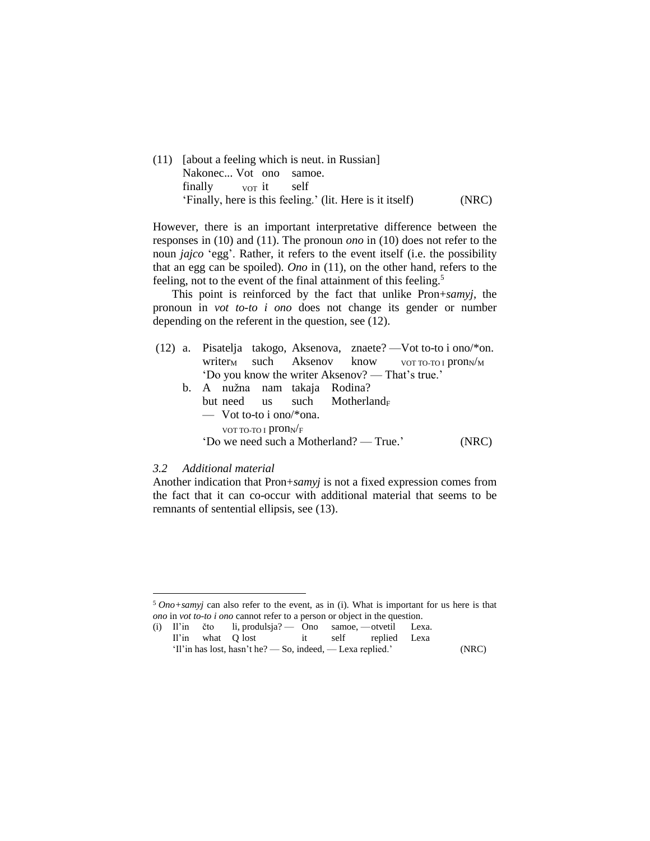(11) [about a feeling which is neut. in Russian] Nakonec... Vot ono samoe. finally vor it self 'Finally, here is this feeling.' (lit. Here is it itself) (NRC)

However, there is an important interpretative difference between the responses in (10) and (11). The pronoun *ono* in (10) does not refer to the noun *jajco* 'egg'. Rather, it refers to the event itself (i.e. the possibility that an egg can be spoiled). *Ono* in (11), on the other hand, refers to the feeling, not to the event of the final attainment of this feeling.<sup>5</sup>

This point is reinforced by the fact that unlike Pron+*samyj*, the pronoun in *vot to-to i ono* does not change its gender or number depending on the referent in the question, see (12).

- (12) a. Pisatelja takogo, Aksenova, znaete? —Vot to-to i ono/\*on. writer<sub>M</sub> such Aksenov know  $V_{\text{NOT TO-TO I}}$  pron<sub>N</sub>/<sub>M</sub> 'Do you know the writer Aksenov? — That's true.'
	- b. A nužna nam takaja Rodina? but need us such Motherland<sub>F</sub> — Vot to-to i ono/\*ona. VOT TO-TO I  $\text{pron}_N$ /F 'Do we need such a Motherland? — True.' (NRC)

#### *3.2 Additional material*

 $\overline{a}$ 

Another indication that Pron+*samyj* is not a fixed expression comes from the fact that it can co-occur with additional material that seems to be remnants of sentential ellipsis, see (13).

<sup>5</sup> *Ono+samyj* can also refer to the event, as in (i). What is important for us here is that *ono* in *vot to-to i ono* cannot refer to a person or object in the question.

<sup>(</sup>i) Il'in čto li, produlsja? — Ono samoe, —otvetil Lexa. Il'in what Q lost it self replied Lexa 'Il'in has lost, hasn't he? — So, indeed, — Lexa replied.' (NRC)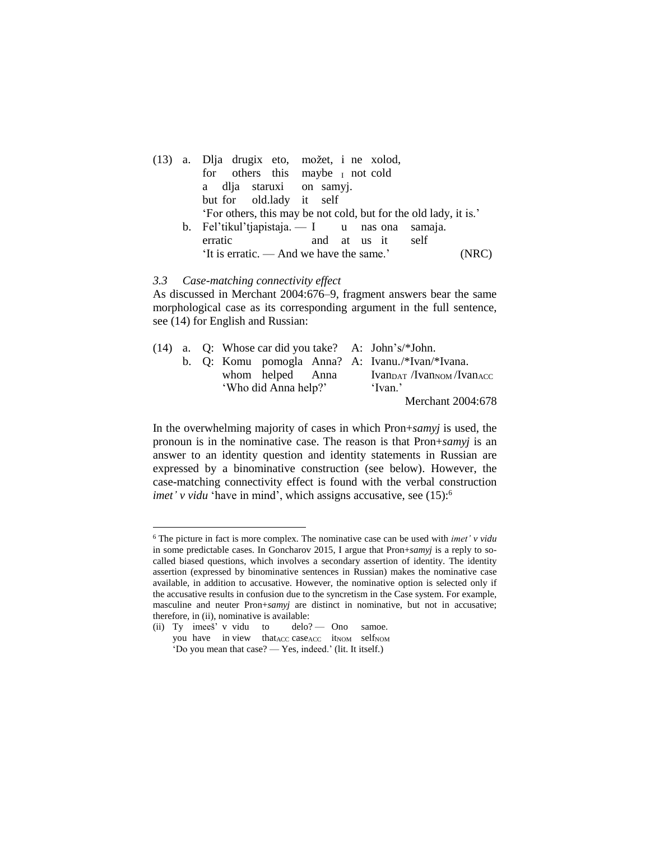|  | (13) a. Dlja drugix eto, možet, i ne xolod,                      |
|--|------------------------------------------------------------------|
|  | for others this maybe <i>I</i> not cold                          |
|  | a dlja staruxi on samyj.                                         |
|  | but for old.lady it self                                         |
|  | 'For others, this may be not cold, but for the old lady, it is.' |
|  | b. Fel'tikul'tjapistaja. - I u nas ona samaja.                   |
|  | erratic<br>and at us it self                                     |
|  | 'It is erratic. — And we have the same.'<br>'NRC)                |

#### *3.3 Case-matching connectivity effect*

As discussed in Merchant 2004:676–9, fragment answers bear the same morphological case as its corresponding argument in the full sentence, see (14) for English and Russian:

|  |  |                      |  |  | $(14)$ a. Q: Whose car did you take? A: John's/*John. |
|--|--|----------------------|--|--|-------------------------------------------------------|
|  |  |                      |  |  | b. Q: Komu pomogla Anna? A: Ivanu./*Ivan/*Ivana.      |
|  |  | whom helped Anna     |  |  | $Ivanpart / Ivannom / IvanACC$                        |
|  |  | 'Who did Anna help?' |  |  | 'Ivan.'                                               |
|  |  |                      |  |  | Merchant 2004:678                                     |

In the overwhelming majority of cases in which Pron+*samyj* is used, the pronoun is in the nominative case. The reason is that Pron+*samyj* is an answer to an identity question and identity statements in Russian are expressed by a binominative construction (see below). However, the case-matching connectivity effect is found with the verbal construction *imet' v vidu* 'have in mind', which assigns accusative, see (15):<sup>6</sup>

 $\overline{a}$ 

<sup>6</sup> The picture in fact is more complex. The nominative case can be used with *imet' v vidu* in some predictable cases. In Goncharov 2015, I argue that Pron+*samyj* is a reply to socalled biased questions, which involves a secondary assertion of identity. The identity assertion (expressed by binominative sentences in Russian) makes the nominative case available, in addition to accusative. However, the nominative option is selected only if the accusative results in confusion due to the syncretism in the Case system. For example, masculine and neuter Pron+*samyj* are distinct in nominative, but not in accusative; therefore, in (ii), nominative is available:

<sup>(</sup>ii) Ty imees'  $v$  vidu to delo?  $\qquad$  Ono samoe. you have in view that ACC caseACC itNOM selfNOM

<sup>&#</sup>x27;Do you mean that case? — Yes, indeed.' (lit. It itself.)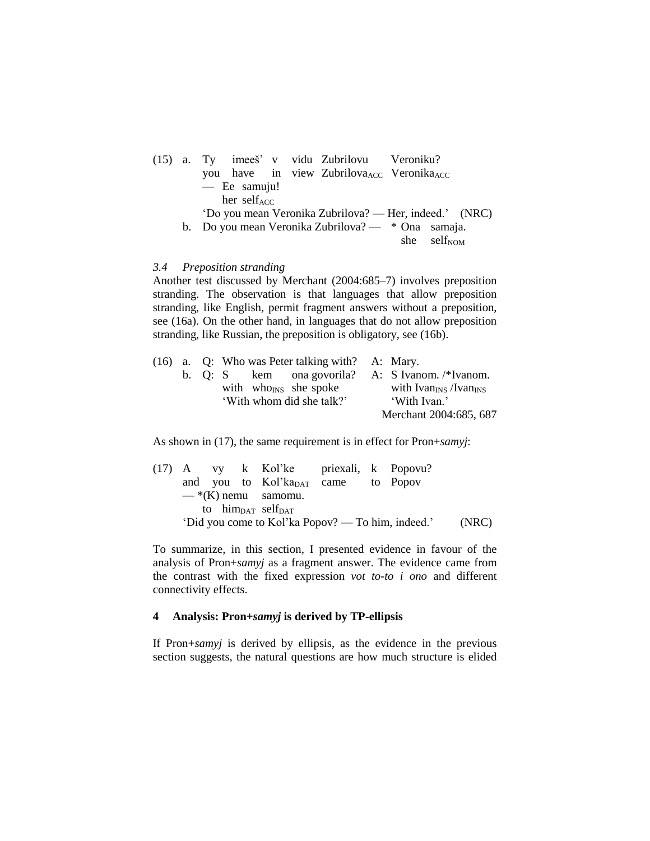|  | (15) a. Ty imees <sup>"</sup> v vidu Zubrilovu Veroniku?          |
|--|-------------------------------------------------------------------|
|  | you have in view Zubrilova <sub>ACC</sub> Veronika <sub>ACC</sub> |
|  | $-$ Ee samuju!                                                    |
|  | her self <sub>ACC</sub>                                           |
|  | 'Do you mean Veronika Zubrilova? — Her, indeed.' (NRC)            |
|  | b. Do you mean Veronika Zubrilova? — * Ona samaja.                |
|  | she self <sub>NOM</sub>                                           |

#### *3.4 Preposition stranding*

Another test discussed by Merchant (2004:685–7) involves preposition stranding. The observation is that languages that allow preposition stranding, like English, permit fragment answers without a preposition, see (16a). On the other hand, in languages that do not allow preposition stranding, like Russian, the preposition is obligatory, see (16b).

|  |  |                           | $(16)$ a. Q: Who was Peter talking with? A: Mary. |                                                     |
|--|--|---------------------------|---------------------------------------------------|-----------------------------------------------------|
|  |  |                           |                                                   | b. Q: S kem ona govorila? A: S Ivanom. $/*$ Ivanom. |
|  |  |                           | with who <sub>INS</sub> she spoke                 | with Ivan <sub>INS</sub> /Ivan <sub>INS</sub>       |
|  |  | 'With whom did she talk?' |                                                   | 'With Ivan.'                                        |
|  |  |                           |                                                   | Merchant 2004:685, 687                              |

As shown in (17), the same requirement is in effect for Pron+*samyj*:

|  |  | (17) A vy k Kol'ke priexali, k Popovu?         |  |                                                   |       |
|--|--|------------------------------------------------|--|---------------------------------------------------|-------|
|  |  | and you to Kol'ka <sub>DAT</sub> came to Popov |  |                                                   |       |
|  |  | $-\cdot$ K) nemu samomu.                       |  |                                                   |       |
|  |  | to him <sub>pat</sub> self <sub>pat</sub>      |  |                                                   |       |
|  |  |                                                |  | 'Did you come to Kol'ka Popov? — To him, indeed.' | (NRC) |

To summarize, in this section, I presented evidence in favour of the analysis of Pron+*samyj* as a fragment answer. The evidence came from the contrast with the fixed expression *vot to-to i ono* and different connectivity effects.

#### **4 Analysis: Pron+***samyj* **is derived by TP-ellipsis**

If Pron+*samyj* is derived by ellipsis, as the evidence in the previous section suggests, the natural questions are how much structure is elided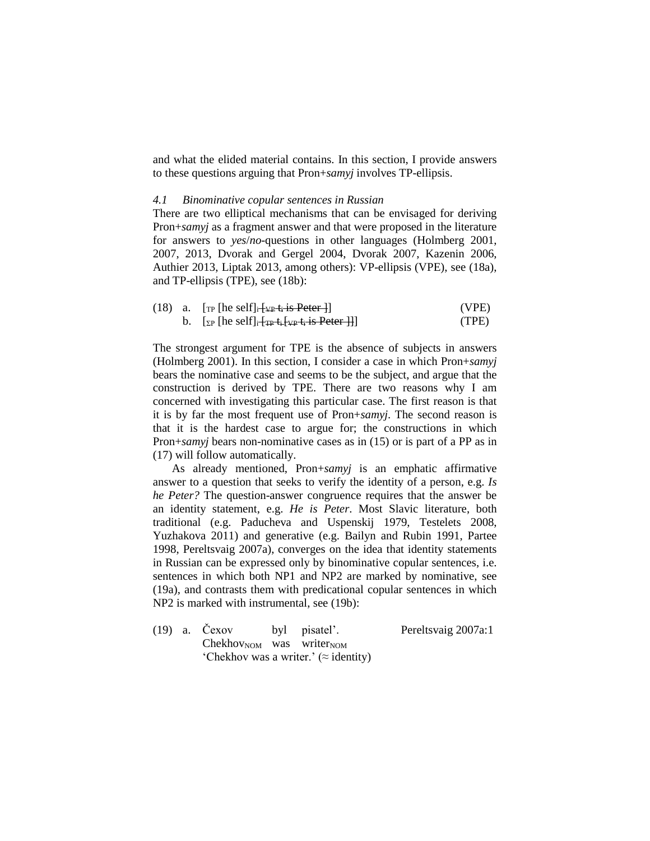and what the elided material contains. In this section, I provide answers to these questions arguing that Pron+*samyj* involves TP-ellipsis.

#### *4.1 Binominative copular sentences in Russian*

There are two elliptical mechanisms that can be envisaged for deriving Pron+*samyj* as a fragment answer and that were proposed in the literature for answers to *yes*/*no*-questions in other languages (Holmberg 2001, 2007, 2013, Dvorak and Gergel 2004, Dvorak 2007, Kazenin 2006, Authier 2013, Liptak 2013, among others): VP-ellipsis (VPE), see (18a), and TP-ellipsis (TPE), see (18b):

|  | (18) a. $[\text{TP}$ [he self] $\frac{1}{1+\text{VP}}$ t <sub>i</sub> is Peter 1]                                                                                                                     | (VPE) |
|--|-------------------------------------------------------------------------------------------------------------------------------------------------------------------------------------------------------|-------|
|  | b. $\left[\sum_{\mathbf{P}}$ [he self] <sub>i</sub> $\left[\frac{1}{\mathbf{TP}} + \frac{1}{2} \mathbf{VP} + \frac{1}{2} \mathbf{S} \cdot \mathbf{P} \cdot \mathbf{C} \cdot \mathbf{P}\right]\right]$ | (TPE) |

The strongest argument for TPE is the absence of subjects in answers (Holmberg 2001). In this section, I consider a case in which Pron+*samyj* bears the nominative case and seems to be the subject, and argue that the construction is derived by TPE. There are two reasons why I am concerned with investigating this particular case. The first reason is that it is by far the most frequent use of Pron+*samyj*. The second reason is that it is the hardest case to argue for; the constructions in which Pron+*samyj* bears non-nominative cases as in (15) or is part of a PP as in (17) will follow automatically.

As already mentioned, Pron+*samyj* is an emphatic affirmative answer to a question that seeks to verify the identity of a person, e.g. *Is he Peter?* The question-answer congruence requires that the answer be an identity statement, e.g. *He is Peter*. Most Slavic literature, both traditional (e.g. Paducheva and Uspenskij 1979, Testelets 2008, Yuzhakova 2011) and generative (e.g. Bailyn and Rubin 1991, Partee 1998, Pereltsvaig 2007a), converges on the idea that identity statements in Russian can be expressed only by binominative copular sentences, i.e. sentences in which both NP1 and NP2 are marked by nominative, see (19a), and contrasts them with predicational copular sentences in which NP2 is marked with instrumental, see (19b):

| $(19)$ a. Cexov |  | byl pisatel'.                          | Pereltsvaig 2007a:1                           |  |
|-----------------|--|----------------------------------------|-----------------------------------------------|--|
|                 |  | $ChekhovNOM$ was writer <sub>NOM</sub> |                                               |  |
|                 |  |                                        | 'Chekhov was a writer.' ( $\approx$ identity) |  |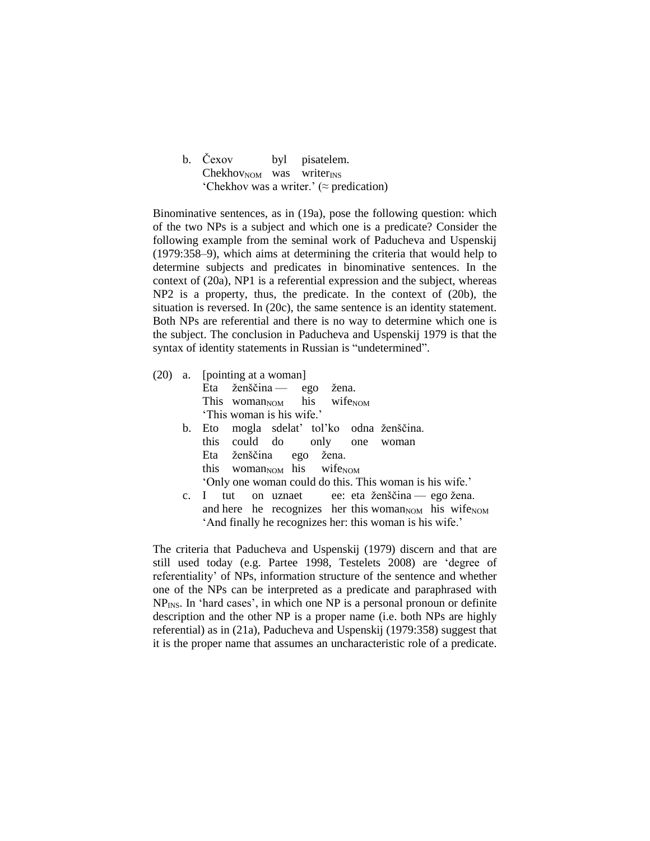| b. Čexov                               | byl pisatelem.                                   |
|----------------------------------------|--------------------------------------------------|
| $ChekhovNOM$ was writer <sub>INS</sub> |                                                  |
|                                        | 'Chekhov was a writer.' ( $\approx$ predication) |

Binominative sentences, as in (19a), pose the following question: which of the two NPs is a subject and which one is a predicate? Consider the following example from the seminal work of Paducheva and Uspenskij (1979:358–9), which aims at determining the criteria that would help to determine subjects and predicates in binominative sentences. In the context of (20a), NP1 is a referential expression and the subject, whereas NP2 is a property, thus, the predicate. In the context of (20b), the situation is reversed. In (20c), the same sentence is an identity statement. Both NPs are referential and there is no way to determine which one is the subject. The conclusion in Paducheva and Uspenskij 1979 is that the syntax of identity statements in Russian is "undetermined".

|         | $(20)$ a. [pointing at a woman]                                              |
|---------|------------------------------------------------------------------------------|
|         | Eta ženščina — ego žena.                                                     |
|         | This woman <sub>NOM</sub> his wife <sub>NOM</sub>                            |
|         | 'This woman is his wife.'                                                    |
| $b_{1}$ | Eto mogla sdelať toľko odna ženščina.                                        |
|         | this could do only one woman                                                 |
|         | Eta ženščina ego žena.                                                       |
|         | this woman <sub>NOM</sub> his wife <sub>NOM</sub>                            |
|         | 'Only one woman could do this. This woman is his wife.'                      |
|         | tut on uznaet ee: eta ženščina — ego žena.<br>$c. \Box$                      |
|         | and here he recognizes her this woman <sub>NOM</sub> his wife <sub>NOM</sub> |
|         | 'And finally he recognizes her: this woman is his wife.'                     |

The criteria that Paducheva and Uspenskij (1979) discern and that are still used today (e.g. Partee 1998, Testelets 2008) are 'degree of referentiality' of NPs, information structure of the sentence and whether one of the NPs can be interpreted as a predicate and paraphrased with  $NP<sub>INS</sub>$ . In 'hard cases', in which one  $NP$  is a personal pronoun or definite description and the other NP is a proper name (i.e. both NPs are highly referential) as in (21a), Paducheva and Uspenskij (1979:358) suggest that it is the proper name that assumes an uncharacteristic role of a predicate.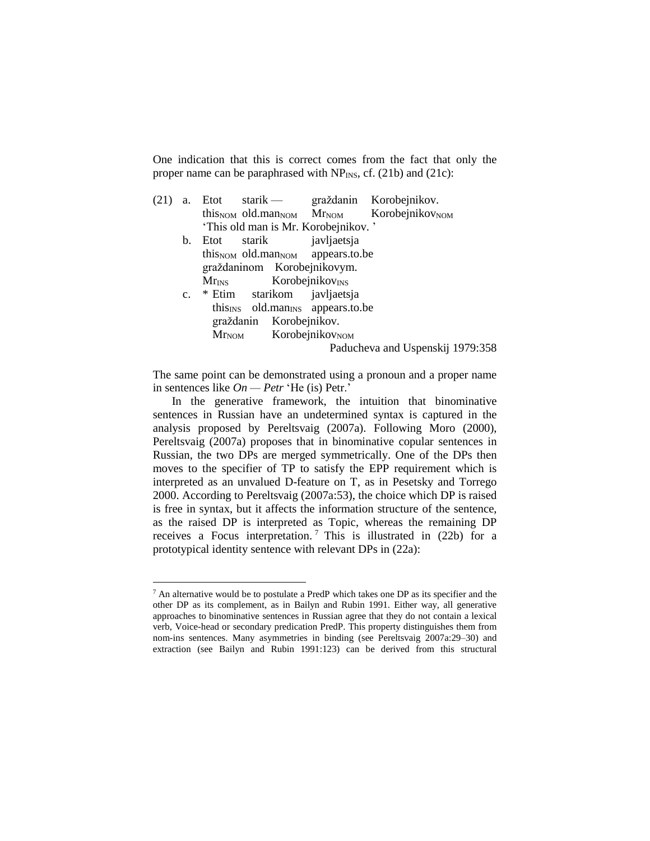One indication that this is correct comes from the fact that only the proper name can be paraphrased with  $NP_{INS}$ , cf. (21b) and (21c):

| (21) |             |      |                                                          |             | a. Etot starik — graždanin Korobejnikov.                                                 |
|------|-------------|------|----------------------------------------------------------|-------------|------------------------------------------------------------------------------------------|
|      |             |      |                                                          |             | this <sub>NOM</sub> old.man <sub>NOM</sub> Mr <sub>NOM</sub> Korobejnikov <sub>NOM</sub> |
|      |             |      | 'This old man is Mr. Korobejnikov.'                      |             |                                                                                          |
|      | b.          | Etot | starik                                                   | javljaetsja |                                                                                          |
|      |             |      | this <sub>NOM</sub> old.man <sub>NOM</sub> appears.to.be |             |                                                                                          |
|      |             |      | graždaninom Korobejnikovym.                              |             |                                                                                          |
|      |             |      | $Mr_{INS}$ Korobejnikov <sub>INS</sub>                   |             |                                                                                          |
|      | $c_{\cdot}$ |      | * Etim starikom javljaetsja                              |             |                                                                                          |
|      |             |      | this <sub>INS</sub> old.man <sub>INS</sub> appears.to.be |             |                                                                                          |
|      |             |      | graždanin Korobejnikov.                                  |             |                                                                                          |
|      |             |      | $MrNOM$ Korobejnikov <sub>NOM</sub>                      |             |                                                                                          |
|      |             |      |                                                          |             | Paducheva and Uspenskij 1979:358                                                         |
|      |             |      |                                                          |             |                                                                                          |

The same point can be demonstrated using a pronoun and a proper name in sentences like *On — Petr* 'He (is) Petr.'

In the generative framework, the intuition that binominative sentences in Russian have an undetermined syntax is captured in the analysis proposed by Pereltsvaig (2007a). Following Moro (2000), Pereltsvaig (2007a) proposes that in binominative copular sentences in Russian, the two DPs are merged symmetrically. One of the DPs then moves to the specifier of TP to satisfy the EPP requirement which is interpreted as an unvalued D-feature on T, as in Pesetsky and Torrego 2000. According to Pereltsvaig (2007a:53), the choice which DP is raised is free in syntax, but it affects the information structure of the sentence, as the raised DP is interpreted as Topic, whereas the remaining DP receives a Focus interpretation. <sup>7</sup> This is illustrated in (22b) for a prototypical identity sentence with relevant DPs in (22a):

 $\overline{a}$ 

 $<sup>7</sup>$  An alternative would be to postulate a PredP which takes one DP as its specifier and the</sup> other DP as its complement, as in Bailyn and Rubin 1991. Either way, all generative approaches to binominative sentences in Russian agree that they do not contain a lexical verb, Voice-head or secondary predication PredP. This property distinguishes them from nom-ins sentences. Many asymmetries in binding (see Pereltsvaig 2007a:29–30) and extraction (see Bailyn and Rubin 1991:123) can be derived from this structural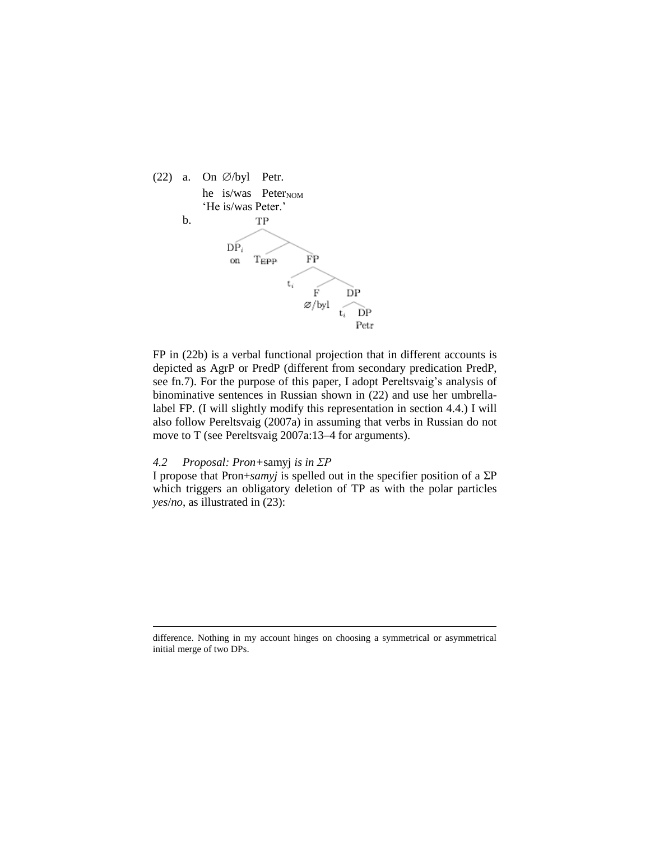

FP in (22b) is a verbal functional projection that in different accounts is depicted as AgrP or PredP (different from secondary predication PredP, see fn.7). For the purpose of this paper, I adopt Pereltsvaig's analysis of binominative sentences in Russian shown in (22) and use her umbrellalabel FP. (I will slightly modify this representation in section 4.4.) I will also follow Pereltsvaig (2007a) in assuming that verbs in Russian do not move to T (see Pereltsvaig 2007a:13–4 for arguments).

#### *4.2 Proposal: Pron+*samyj *is in ΣP*

 $\overline{a}$ 

I propose that Pron+*samyj* is spelled out in the specifier position of a ΣP which triggers an obligatory deletion of TP as with the polar particles *yes*/*no*, as illustrated in (23):

difference. Nothing in my account hinges on choosing a symmetrical or asymmetrical initial merge of two DPs.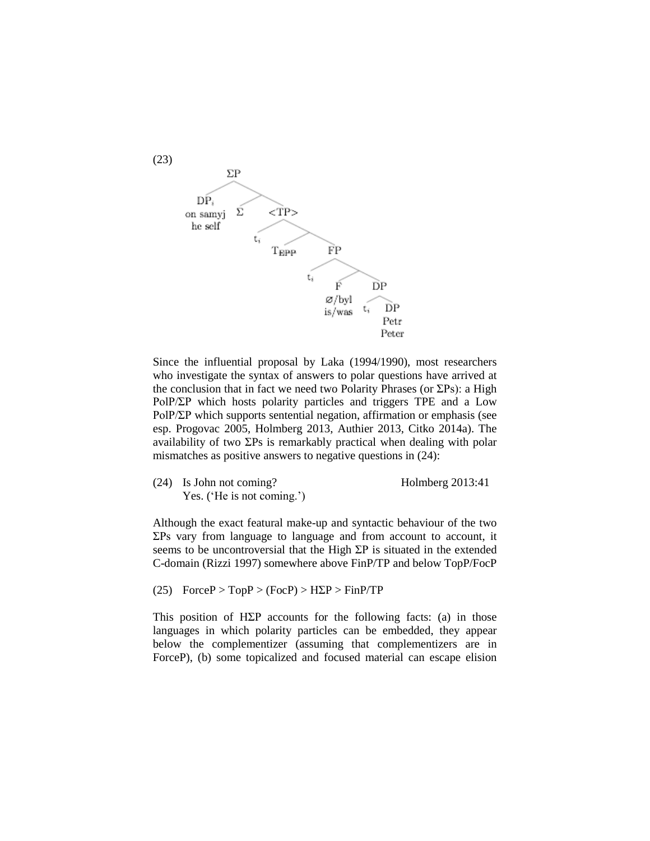

Since the influential proposal by Laka (1994/1990), most researchers who investigate the syntax of answers to polar questions have arrived at the conclusion that in fact we need two Polarity Phrases (or  $\Sigma$ Ps): a High PolP/ΣP which hosts polarity particles and triggers TPE and a Low PolP/ΣP which supports sentential negation, affirmation or emphasis (see esp. Progovac 2005, Holmberg 2013, Authier 2013, Citko 2014a). The availability of two ΣPs is remarkably practical when dealing with polar mismatches as positive answers to negative questions in (24):

(24) Is John not coming? Holmberg 2013:41 Yes. ('He is not coming.')

Although the exact featural make-up and syntactic behaviour of the two ΣPs vary from language to language and from account to account, it seems to be uncontroversial that the High ΣP is situated in the extended C-domain (Rizzi 1997) somewhere above FinP/TP and below TopP/FocP

(25)  $ForceP > TopP > (FocP) > H\Sigma P > FinP/TP$ 

This position of HΣP accounts for the following facts: (a) in those languages in which polarity particles can be embedded, they appear below the complementizer (assuming that complementizers are in ForceP), (b) some topicalized and focused material can escape elision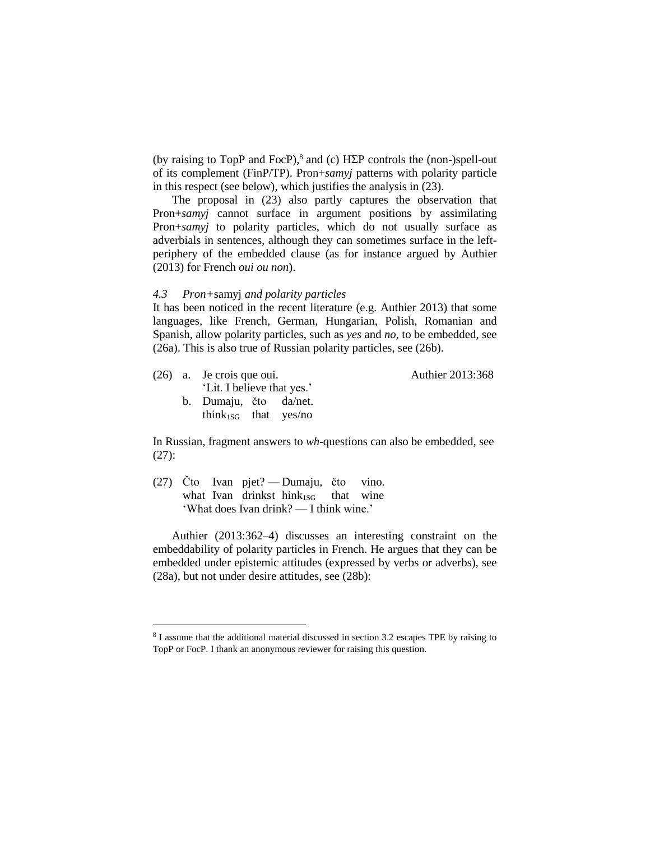(by raising to TopP and FocP), $^8$  and (c) H $\Sigma$ P controls the (non-)spell-out of its complement (FinP/TP). Pron+*samyj* patterns with polarity particle in this respect (see below), which justifies the analysis in (23).

The proposal in (23) also partly captures the observation that Pron+*samyj* cannot surface in argument positions by assimilating Pron+*samyj* to polarity particles, which do not usually surface as adverbials in sentences, although they can sometimes surface in the leftperiphery of the embedded clause (as for instance argued by Authier (2013) for French *oui ou non*).

#### *4.3 Pron+*samyj *and polarity particles*

It has been noticed in the recent literature (e.g. Authier 2013) that some languages, like French, German, Hungarian, Polish, Romanian and Spanish, allow polarity particles, such as *yes* and *no*, to be embedded, see (26a). This is also true of Russian polarity particles, see (26b).

|  | $(26)$ a. Je crois que oui.<br>'Lit. I believe that yes.'  | Authier 2013:368 |
|--|------------------------------------------------------------|------------------|
|  | b. Dumaju, čto da/net.<br>think <sub>1SG</sub> that yes/no |                  |

In Russian, fragment answers to *wh*-questions can also be embedded, see (27):

(27) Čto Ivan pjet? — Dumaju, čto vino. what Ivan drinkst hink $_{1SG}$  that wine 'What does Ivan drink? — I think wine.'

 $\overline{a}$ 

Authier (2013:362–4) discusses an interesting constraint on the embeddability of polarity particles in French. He argues that they can be embedded under epistemic attitudes (expressed by verbs or adverbs), see (28a), but not under desire attitudes, see (28b):

<sup>&</sup>lt;sup>8</sup> I assume that the additional material discussed in section 3.2 escapes TPE by raising to TopP or FocP. I thank an anonymous reviewer for raising this question.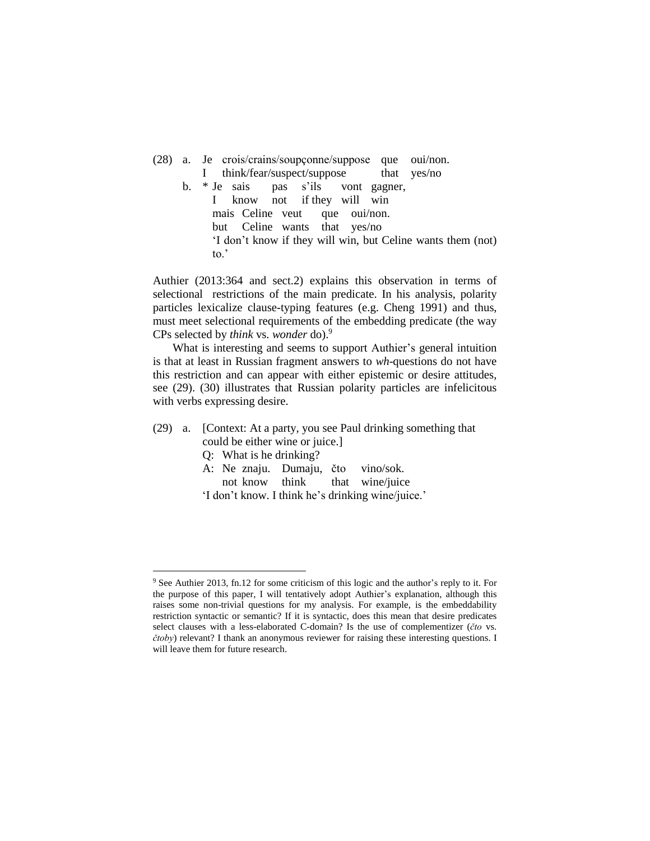(28) a. Je crois/crains/soupçonne/suppose que oui/non. I think/fear/suspect/suppose that yes/no b. \* Je sais pas s'ils vont gagner, I know not if they will win mais Celine veut que oui/non. but Celine wants that yes/no 'I don't know if they will win, but Celine wants them (not) to.'

Authier (2013:364 and sect.2) explains this observation in terms of selectional restrictions of the main predicate. In his analysis, polarity particles lexicalize clause-typing features (e.g. Cheng 1991) and thus, must meet selectional requirements of the embedding predicate (the way CPs selected by *think* vs. *wonder* do).<sup>9</sup>

What is interesting and seems to support Authier's general intuition is that at least in Russian fragment answers to *wh*-questions do not have this restriction and can appear with either epistemic or desire attitudes, see (29). (30) illustrates that Russian polarity particles are infelicitous with verbs expressing desire.

(29) a. [Context: At a party, you see Paul drinking something that could be either wine or juice.]

Q: What is he drinking?

 $\overline{a}$ 

A: Ne znaju. Dumaju, čto vino/sok.

not know think that wine/juice

'I don't know. I think he's drinking wine/juice.'

<sup>9</sup> See Authier 2013, fn.12 for some criticism of this logic and the author's reply to it. For the purpose of this paper, I will tentatively adopt Authier's explanation, although this raises some non-trivial questions for my analysis. For example, is the embeddability restriction syntactic or semantic? If it is syntactic, does this mean that desire predicates select clauses with a less-elaborated C-domain? Is the use of complementizer (*čto* vs. *čtoby*) relevant? I thank an anonymous reviewer for raising these interesting questions. I will leave them for future research.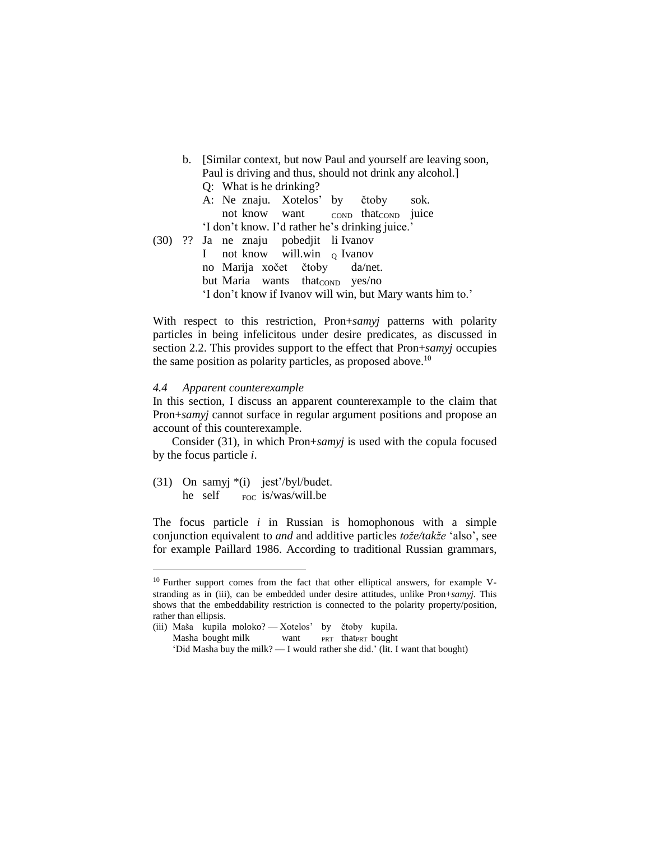b. [Similar context, but now Paul and yourself are leaving soon, Paul is driving and thus, should not drink any alcohol.] Q: What is he drinking? A: Ne znaju. Xotelos' by čtoby sok. not know want conp thatcon juice 'I don't know. I'd rather he's drinking juice.' (30) ?? Ja ne znaju pobedjit li Ivanov I not know will.win o Ivanov no Marija xočet čtoby da/net. but Maria wants thatconp yes/no 'I don't know if Ivanov will win, but Mary wants him to.'

With respect to this restriction, Pron+*samyj* patterns with polarity particles in being infelicitous under desire predicates, as discussed in section 2.2. This provides support to the effect that Pron+*samyj* occupies the same position as polarity particles, as proposed above.<sup>10</sup>

#### *4.4 Apparent counterexample*

In this section, I discuss an apparent counterexample to the claim that Pron+*samyj* cannot surface in regular argument positions and propose an account of this counterexample.

Consider (31), in which Pron+*samyj* is used with the copula focused by the focus particle *i*.

(31) On samyj \*(i) jest'/byl/budet. he self FOC is/was/will.be

 $\overline{a}$ 

The focus particle *i* in Russian is homophonous with a simple conjunction equivalent to *and* and additive particles *tože/takže* 'also', see for example Paillard 1986. According to traditional Russian grammars,

<sup>&</sup>lt;sup>10</sup> Further support comes from the fact that other elliptical answers, for example Vstranding as in (iii), can be embedded under desire attitudes, unlike Pron+*samyj.* This shows that the embeddability restriction is connected to the polarity property/position, rather than ellipsis.

<sup>(</sup>iii) Maša kupila moloko? — Xotelos' by čtoby kupila.

Masha bought milk want PRT thatPRT bought

<sup>&#</sup>x27;Did Masha buy the milk? — I would rather she did.' (lit. I want that bought)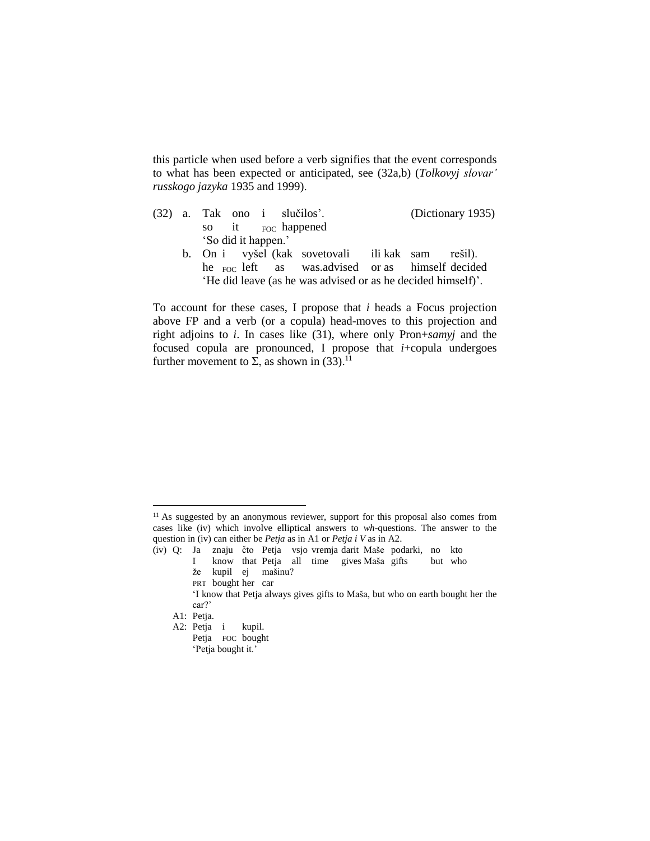this particle when used before a verb signifies that the event corresponds to what has been expected or anticipated, see (32a,b) (*Tolkovyj slovar' russkogo jazyka* 1935 and 1999).

|  | (Dictionary 1935)<br>$(32)$ a. Tak ono i slučilos'.          |  |  |  |  |  |  |  |
|--|--------------------------------------------------------------|--|--|--|--|--|--|--|
|  | so it Foc happened                                           |  |  |  |  |  |  |  |
|  | 'So did it happen.'                                          |  |  |  |  |  |  |  |
|  | b. On i vyšel (kak sovetovali ili kak sam rešil).            |  |  |  |  |  |  |  |
|  | he <sub>FOC</sub> left as was.advised or as himself decided  |  |  |  |  |  |  |  |
|  | 'He did leave (as he was advised or as he decided himself)'. |  |  |  |  |  |  |  |

To account for these cases, I propose that *i* heads a Focus projection above FP and a verb (or a copula) head-moves to this projection and right adjoins to *i*. In cases like (31), where only Pron+*samyj* and the focused copula are pronounced, I propose that *i*+copula undergoes further movement to  $\Sigma$ , as shown in (33).<sup>11</sup>

PRT bought her car

 $\overline{a}$ 

- A2: Petja i kupil.
	- Petja FOC bought 'Petja bought it.'

<sup>&</sup>lt;sup>11</sup> As suggested by an anonymous reviewer, support for this proposal also comes from cases like (iv) which involve elliptical answers to *wh-*questions. The answer to the question in (iv) can either be *Petja* as in A1 or *Petja i V* as in A2.

<sup>(</sup>iv) Q: Ja znaju čto Petja vsjo vremja darit Maše podarki, no kto

I know that Petja all time gives Maša gifts but who že kupil ej mašinu?

<sup>&#</sup>x27;I know that Petja always gives gifts to Maša, but who on earth bought her the car?'

A1: Petja.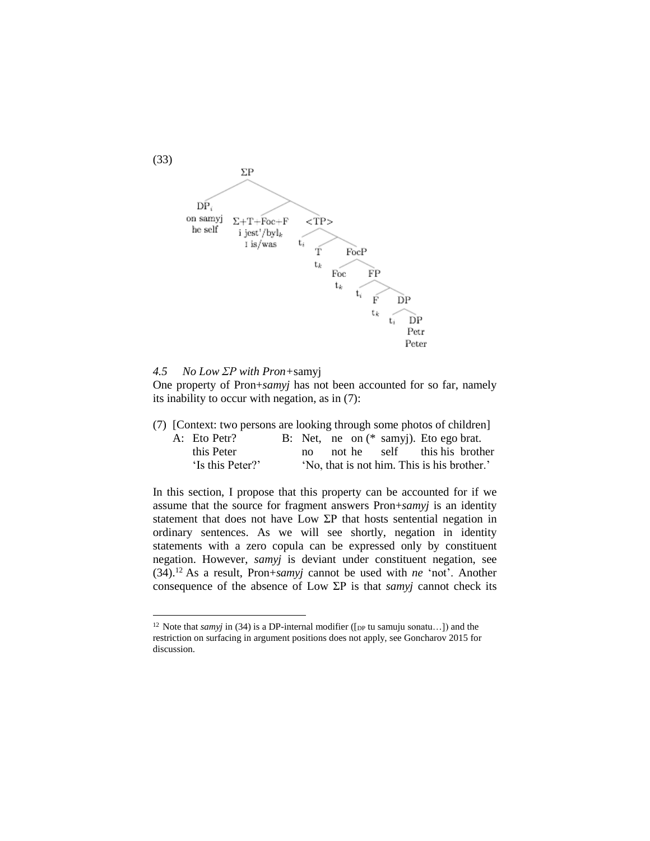

#### *4.5 No Low ΣP with Pron+*samyj

 $\overline{a}$ 

One property of Pron+*samyj* has not been accounted for so far, namely its inability to occur with negation, as in (7):

|  | (7) [Context: two persons are looking through some photos of children] |  |              |  |                                             |  |
|--|------------------------------------------------------------------------|--|--------------|--|---------------------------------------------|--|
|  | A: Eto Petr?                                                           |  |              |  | B: Net, ne on (* samy). Eto ego brat.       |  |
|  | this Peter                                                             |  | $n_{\Omega}$ |  | not he self this his brother                |  |
|  | 'Is this Peter?'                                                       |  |              |  | 'No, that is not him. This is his brother.' |  |

In this section, I propose that this property can be accounted for if we assume that the source for fragment answers Pron+*samyj* is an identity statement that does not have Low ΣP that hosts sentential negation in ordinary sentences. As we will see shortly, negation in identity statements with a zero copula can be expressed only by constituent negation. However, *samyj* is deviant under constituent negation, see (34).<sup>12</sup> As a result, Pron+*samyj* cannot be used with *ne* 'not'. Another consequence of the absence of Low ΣP is that *samyj* cannot check its

<sup>&</sup>lt;sup>12</sup> Note that *samyj* in (34) is a DP-internal modifier ([ $_{DP}$  tu samuju sonatu...]) and the restriction on surfacing in argument positions does not apply, see Goncharov 2015 for discussion.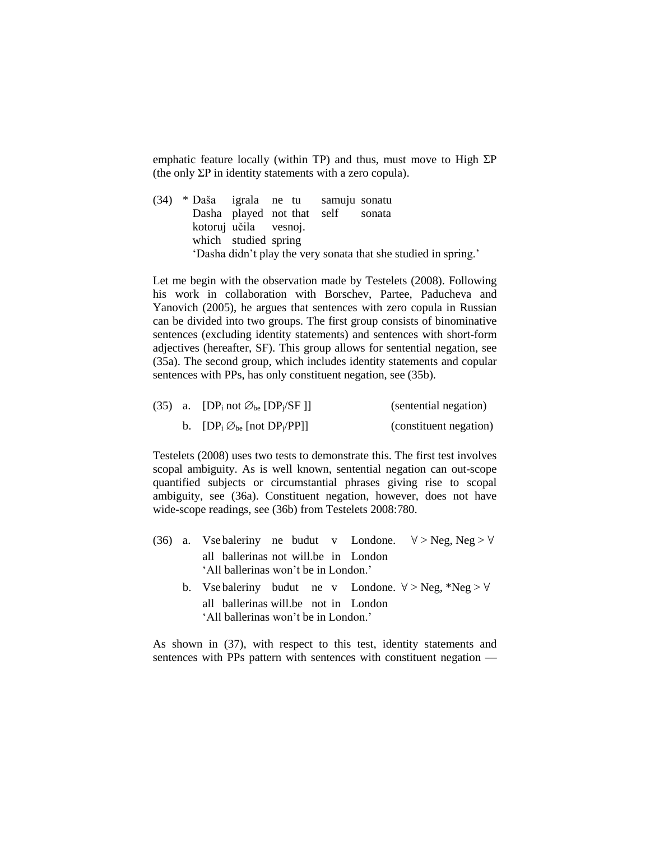emphatic feature locally (within TP) and thus, must move to High  $\Sigma P$ (the only  $\Sigma P$  in identity statements with a zero copula).

(34) \* Daša igrala ne tu samuju sonatu Dasha played not that self sonata kotoruj učila vesnoj. which studied spring 'Dasha didn't play the very sonata that she studied in spring.'

Let me begin with the observation made by Testelets (2008). Following his work in collaboration with Borschev, Partee, Paducheva and Yanovich (2005), he argues that sentences with zero copula in Russian can be divided into two groups. The first group consists of binominative sentences (excluding identity statements) and sentences with short-form adjectives (hereafter, SF). This group allows for sentential negation, see (35a). The second group, which includes identity statements and copular sentences with PPs, has only constituent negation, see (35b).

|  | (35) a. [DP <sub>i</sub> not $\varnothing_{be}$ [DP <sub>i</sub> /SF]] | (sentential negation)  |  |  |
|--|------------------------------------------------------------------------|------------------------|--|--|
|  | b. $[DP_i \oslash_{be} [not DP_j/PP]]$                                 | (constituent negation) |  |  |

Testelets (2008) uses two tests to demonstrate this. The first test involves scopal ambiguity. As is well known, sentential negation can out-scope quantified subjects or circumstantial phrases giving rise to scopal ambiguity, see (36a). Constituent negation, however, does not have wide-scope readings, see (36b) from Testelets 2008:780.

- (36) a. Vse baleriny ne budut v Londone.  $\forall$  > Neg, Neg >  $\forall$ all ballerinas not will.be in London 'All ballerinas won't be in London.'
	- b. Vse baleriny budut ne v Londone.  $\forall$  > Neg, \*Neg >  $\forall$ all ballerinas will.be not in London 'All ballerinas won't be in London.'

As shown in (37), with respect to this test, identity statements and sentences with PPs pattern with sentences with constituent negation —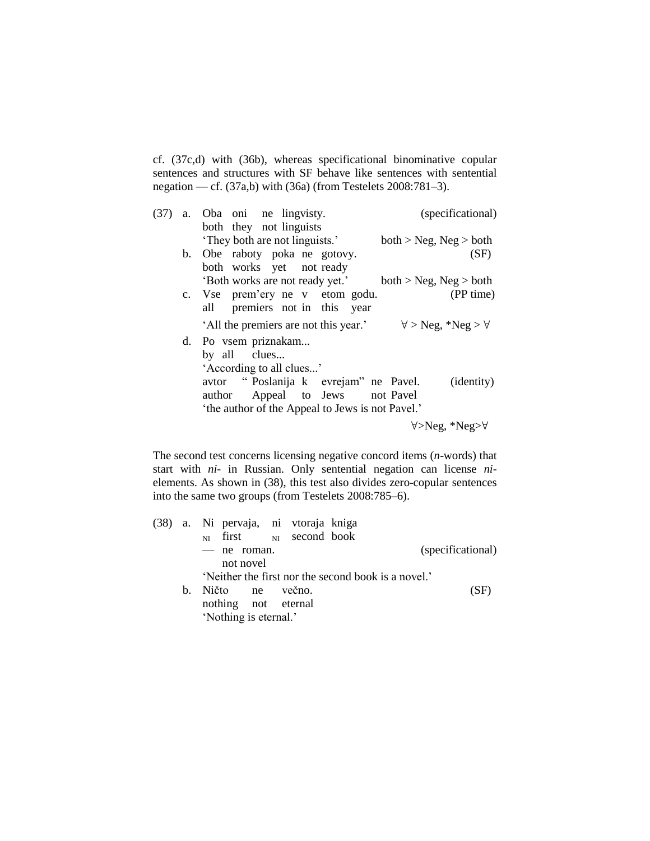cf. (37c,d) with (36b), whereas specificational binominative copular sentences and structures with SF behave like sentences with sentential negation — cf. (37a,b) with (36a) (from Testelets 2008:781–3).

| (37) | (specificational)<br>a. Oba oni ne lingvisty.                              |
|------|----------------------------------------------------------------------------|
|      | both they not linguists                                                    |
|      | 'They both are not linguists.'<br>both > Neg, Neg > both                   |
|      | b. Obe raboty poka ne gotovy.<br>(SF)                                      |
|      | both works yet not ready                                                   |
|      | 'Both works are not ready yet.'<br>both > Neg, Neg > both                  |
|      | (PP time)<br>c. Vse prem'ery ne v etom godu.                               |
|      | all premiers not in this year                                              |
|      | 'All the premiers are not this year.'<br>$\forall$ > Neg, *Neg > $\forall$ |
|      | d. Po vsem priznakam                                                       |
|      | by all clues                                                               |
|      | 'According to all clues'                                                   |
|      | avtor "Poslanija k evrejam" ne Pavel.<br>( <i>identity</i> )               |
|      |                                                                            |
|      | author Appeal to Jews not Pavel                                            |
|      | 'the author of the Appeal to Jews is not Pavel.'                           |

∀>Neg, \*Neg>∀

The second test concerns licensing negative concord items (*n*-words) that start with *ni-* in Russian. Only sentential negation can license *ni*elements. As shown in (38), this test also divides zero-copular sentences into the same two groups (from Testelets 2008:785–6).

|  |    | (38) a. Ni pervaja, ni vtoraja kniga                |  |  |  |                   |      |
|--|----|-----------------------------------------------------|--|--|--|-------------------|------|
|  |    | $_{\text{NI}}$ first $_{\text{NI}}$ second book     |  |  |  |                   |      |
|  |    | - ne roman.                                         |  |  |  | (specificational) |      |
|  |    | not novel                                           |  |  |  |                   |      |
|  |    | 'Neither the first nor the second book is a novel.' |  |  |  |                   |      |
|  | b. | Ničto ne večno.                                     |  |  |  |                   | (SF) |
|  |    | nothing not eternal                                 |  |  |  |                   |      |
|  |    | 'Nothing is eternal.'                               |  |  |  |                   |      |
|  |    |                                                     |  |  |  |                   |      |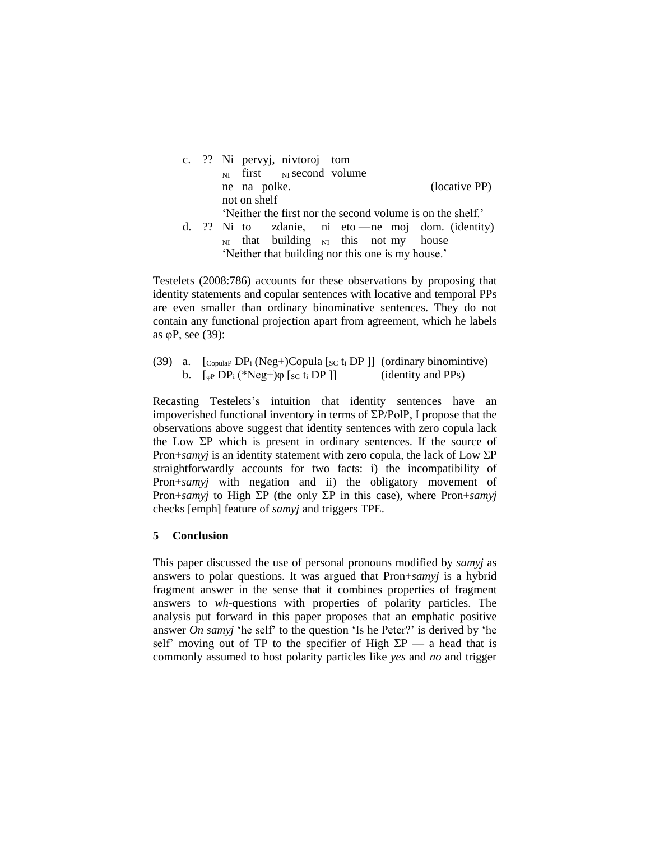

'Neither that building nor this one is my house.'

Testelets (2008:786) accounts for these observations by proposing that identity statements and copular sentences with locative and temporal PPs are even smaller than ordinary binominative sentences. They do not contain any functional projection apart from agreement, which he labels as φP, see (39):

(39) a.  $[{\text{CopulaP DP}_i(Neg+) Copula [sc t_i DP]]}$  (ordinary binomintive) b.  $\left[\begin{array}{cc} \sqrt{\rho}D\ P_i \end{array}\right]^{*}$  (identity and PPs)

Recasting Testelets's intuition that identity sentences have an impoverished functional inventory in terms of ΣP/PolP, I propose that the observations above suggest that identity sentences with zero copula lack the Low  $\Sigma P$  which is present in ordinary sentences. If the source of Pron+*samyj* is an identity statement with zero copula, the lack of Low ΣP straightforwardly accounts for two facts: i) the incompatibility of Pron+*samyj* with negation and ii) the obligatory movement of Pron+*samyj* to High ΣP (the only ΣP in this case), where Pron+*samyj* checks [emph] feature of *samyj* and triggers TPE.

# **5 Conclusion**

This paper discussed the use of personal pronouns modified by *samyj* as answers to polar questions. It was argued that Pron+*samyj* is a hybrid fragment answer in the sense that it combines properties of fragment answers to *wh*-questions with properties of polarity particles. The analysis put forward in this paper proposes that an emphatic positive answer *On samyj* 'he self' to the question 'Is he Peter?' is derived by 'he self' moving out of TP to the specifier of High  $\Sigma P$  — a head that is commonly assumed to host polarity particles like *yes* and *no* and trigger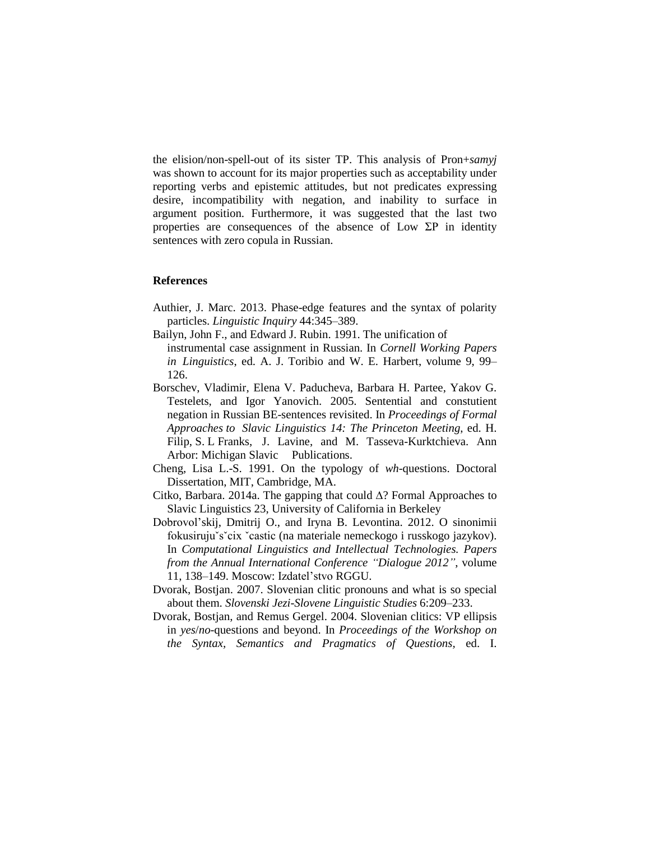the elision/non-spell-out of its sister TP. This analysis of Pron+*samyj* was shown to account for its major properties such as acceptability under reporting verbs and epistemic attitudes, but not predicates expressing desire, incompatibility with negation, and inability to surface in argument position. Furthermore, it was suggested that the last two properties are consequences of the absence of Low  $\Sigma P$  in identity sentences with zero copula in Russian.

#### **References**

- Authier, J. Marc. 2013. Phase-edge features and the syntax of polarity particles. *Linguistic Inquiry* 44:345–389.
- Bailyn, John F., and Edward J. Rubin. 1991. The unification of instrumental case assignment in Russian. In *Cornell Working Papers*
- *in Linguistics*, ed. A. J. Toribio and W. E. Harbert, volume 9, 99– 126.
- Borschev, Vladimir, Elena V. Paducheva, Barbara H. Partee, Yakov G. Testelets, and Igor Yanovich. 2005. Sentential and constutient negation in Russian BE-sentences revisited. In *Proceedings of Formal Approaches to Slavic Linguistics 14: The Princeton Meeting*, ed. H. Filip, S. L Franks, J. Lavine, and M. Tasseva-Kurktchieva. Ann Arbor: Michigan Slavic Publications.
- Cheng, Lisa L.-S. 1991. On the typology of *wh*-questions. Doctoral Dissertation, MIT, Cambridge, MA.
- Citko, Barbara. 2014a. The gapping that could ∆? Formal Approaches to Slavic Linguistics 23, University of California in Berkeley
- Dobrovol'skij, Dmitrij O., and Iryna B. Levontina. 2012. O sinonimii fokusirujuˇsˇcix ˇcastic (na materiale nemeckogo i russkogo jazykov). In *Computational Linguistics and Intellectual Technologies. Papers from the Annual International Conference "Dialogue 2012"*, volume 11, 138–149. Moscow: Izdatel'stvo RGGU.
- Dvorak, Bostjan. 2007. Slovenian clitic pronouns and what is so special about them. *Slovenski Jezi-Slovene Linguistic Studies* 6:209–233.
- Dvorak, Bostjan, and Remus Gergel. 2004. Slovenian clitics: VP ellipsis in *yes*/*no*-questions and beyond. In *Proceedings of the Workshop on the Syntax, Semantics and Pragmatics of Questions,* ed. I.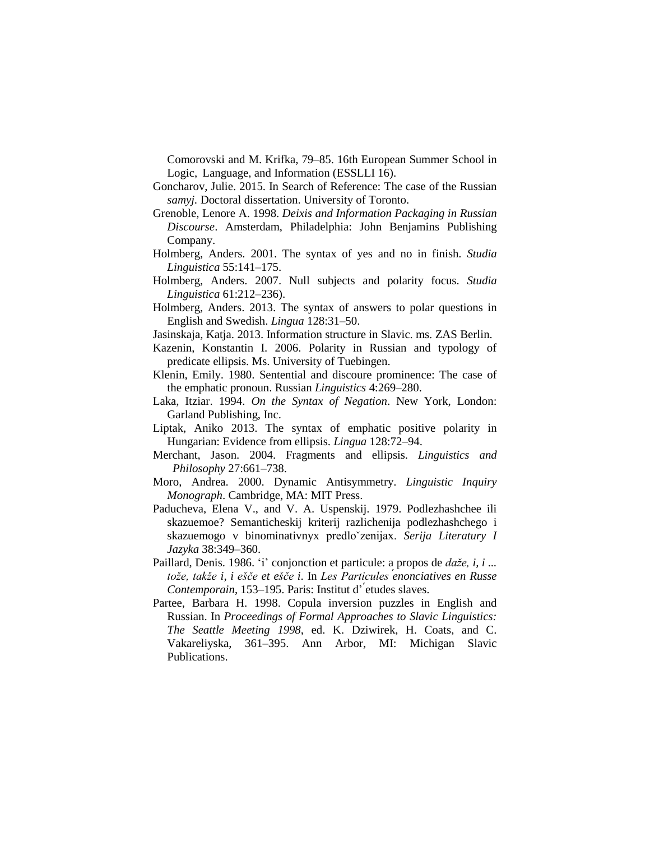Comorovski and M. Krifka, 79–85. 16th European Summer School in Logic, Language, and Information (ESSLLI 16).

- Goncharov, Julie. 2015. In Search of Reference: The case of the Russian *samyj.* Doctoral dissertation. University of Toronto.
- Grenoble, Lenore A. 1998. *Deixis and Information Packaging in Russian Discourse*. Amsterdam, Philadelphia: John Benjamins Publishing Company.
- Holmberg, Anders. 2001. The syntax of yes and no in finish. *Studia Linguistica* 55:141–175.
- Holmberg, Anders. 2007. Null subjects and polarity focus. *Studia Linguistica* 61:212–236).
- Holmberg, Anders. 2013. The syntax of answers to polar questions in English and Swedish. *Lingua* 128:31–50.
- Jasinskaja, Katja. 2013. Information structure in Slavic. ms. ZAS Berlin.
- Kazenin, Konstantin I. 2006. Polarity in Russian and typology of predicate ellipsis. Ms. University of Tuebingen.
- Klenin, Emily. 1980. Sentential and discoure prominence: The case of the emphatic pronoun. Russian *Linguistics* 4:269–280.
- Laka, Itziar. 1994. *On the Syntax of Negation*. New York, London: Garland Publishing, Inc.
- Liptak, Aniko 2013. The syntax of emphatic positive polarity in Hungarian: Evidence from ellipsis. *Lingua* 128:72–94.
- Merchant, Jason. 2004. Fragments and ellipsis. *Linguistics and Philosophy* 27:661–738.
- Moro, Andrea. 2000. Dynamic Antisymmetry. *Linguistic Inquiry Monograph*. Cambridge, MA: MIT Press.
- Paducheva, Elena V., and V. A. Uspenskij. 1979. Podlezhashchee ili skazuemoe? Semanticheskij kriterij razlichenija podlezhashchego i skazuemogo v binominativnyx predloˇzenijax. *Serija Literatury I Jazyka* 38:349–360.
- Paillard, Denis. 1986. 'i' conjonction et particule: a propos de *daže, i, i ... tože, takže i, i ešče et ešče i*. In *Les Particules ́enonciatives en Russe Contemporain*, 153–195. Paris: Institut d' ́etudes slaves.
- Partee, Barbara H. 1998. Copula inversion puzzles in English and Russian. In *Proceedings of Formal Approaches to Slavic Linguistics: The Seattle Meeting 1998*, ed. K. Dziwirek, H. Coats, and C. Vakareliyska, 361–395. Ann Arbor, MI: Michigan Slavic Publications.